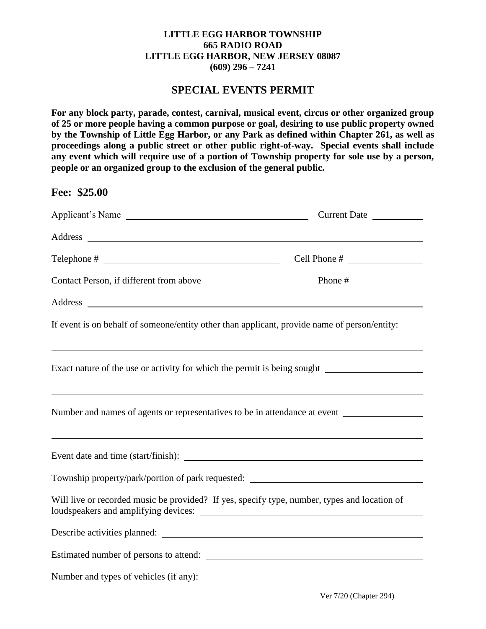## **LITTLE EGG HARBOR TOWNSHIP 665 RADIO ROAD LITTLE EGG HARBOR, NEW JERSEY 08087 (609) 296 – 7241**

## **SPECIAL EVENTS PERMIT**

**For any block party, parade, contest, carnival, musical event, circus or other organized group of 25 or more people having a common purpose or goal, desiring to use public property owned by the Township of Little Egg Harbor, or any Park as defined within Chapter 261, as well as proceedings along a public street or other public right-of-way. Special events shall include any event which will require use of a portion of Township property for sole use by a person, people or an organized group to the exclusion of the general public.** 

**Fee: \$25.00** 

| If event is on behalf of someone/entity other than applicant, provide name of person/entity: _____                                                             |  |  |
|----------------------------------------------------------------------------------------------------------------------------------------------------------------|--|--|
| Exact nature of the use or activity for which the permit is being sought ___________________________                                                           |  |  |
| ,我们也不会有什么。""我们的人,我们也不会有什么?""我们的人,我们也不会有什么?""我们的人,我们也不会有什么?""我们的人,我们也不会有什么?""我们的人<br>Number and names of agents or representatives to be in attendance at event |  |  |
|                                                                                                                                                                |  |  |
| Township property/park/portion of park requested: ______________________________                                                                               |  |  |
| Will live or recorded music be provided? If yes, specify type, number, types and location of                                                                   |  |  |
|                                                                                                                                                                |  |  |
|                                                                                                                                                                |  |  |
|                                                                                                                                                                |  |  |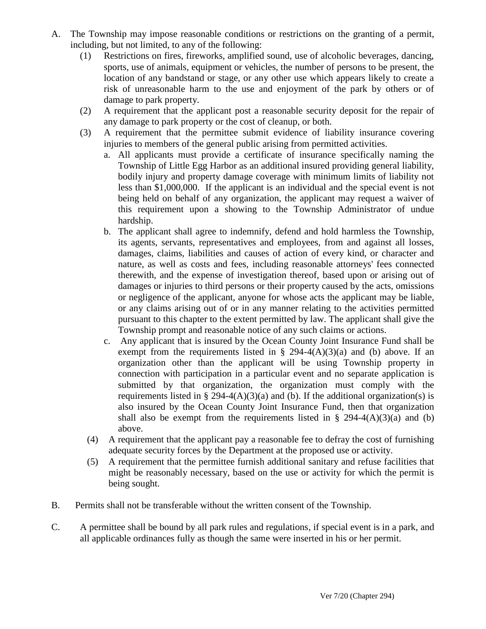- A. The Township may impose reasonable conditions or restrictions on the granting of a permit, including, but not limited, to any of the following:
	- (1) Restrictions on fires, fireworks, amplified sound, use of alcoholic beverages, dancing, sports, use of animals, equipment or vehicles, the number of persons to be present, the location of any bandstand or stage, or any other use which appears likely to create a risk of unreasonable harm to the use and enjoyment of the park by others or of damage to park property.
	- (2) A requirement that the applicant post a reasonable security deposit for the repair of any damage to park property or the cost of cleanup, or both.
	- (3) A requirement that the permittee submit evidence of liability insurance covering injuries to members of the general public arising from permitted activities.
		- a. All applicants must provide a certificate of insurance specifically naming the Township of Little Egg Harbor as an additional insured providing general liability, bodily injury and property damage coverage with minimum limits of liability not less than \$1,000,000. If the applicant is an individual and the special event is not being held on behalf of any organization, the applicant may request a waiver of this requirement upon a showing to the Township Administrator of undue hardship.
		- b. The applicant shall agree to indemnify, defend and hold harmless the Township, its agents, servants, representatives and employees, from and against all losses, damages, claims, liabilities and causes of action of every kind, or character and nature, as well as costs and fees, including reasonable attorneys' fees connected therewith, and the expense of investigation thereof, based upon or arising out of damages or injuries to third persons or their property caused by the acts, omissions or negligence of the applicant, anyone for whose acts the applicant may be liable, or any claims arising out of or in any manner relating to the activities permitted pursuant to this chapter to the extent permitted by law. The applicant shall give the Township prompt and reasonable notice of any such claims or actions.
		- c. Any applicant that is insured by the Ocean County Joint Insurance Fund shall be exempt from the requirements listed in § 294-4(A)(3)(a) and (b) above. If an organization other than the applicant will be using Township property in connection with participation in a particular event and no separate application is submitted by that organization, the organization must comply with the requirements listed in § 294-4(A)(3)(a) and (b). If the additional organization(s) is also insured by the Ocean County Joint Insurance Fund, then that organization shall also be exempt from the requirements listed in § 294-4(A)(3)(a) and (b) above.
		- (4) A requirement that the applicant pay a reasonable fee to defray the cost of furnishing adequate security forces by the Department at the proposed use or activity.
		- (5) A requirement that the permittee furnish additional sanitary and refuse facilities that might be reasonably necessary, based on the use or activity for which the permit is being sought.
- B. Permits shall not be transferable without the written consent of the Township.
- C. A permittee shall be bound by all park rules and regulations, if special event is in a park, and all applicable ordinances fully as though the same were inserted in his or her permit.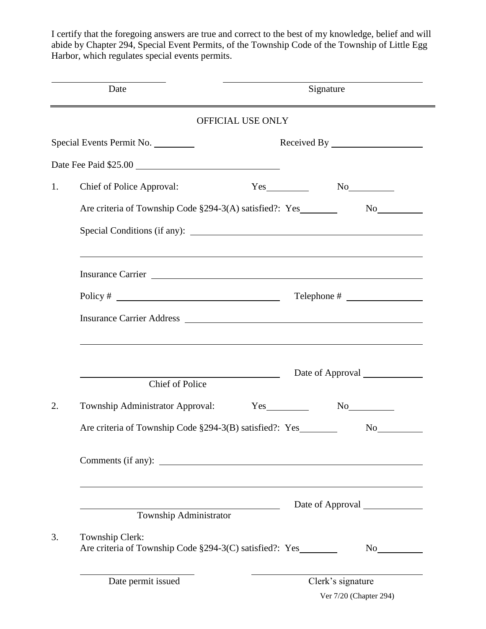I certify that the foregoing answers are true and correct to the best of my knowledge, belief and will abide by Chapter 294, Special Event Permits, of the Township Code of the Township of Little Egg Harbor, which regulates special events permits.

|    | Date<br><u> 1989 - Johann John Stone, Amerikaansk politiker (</u>                                                                                                                                                              | Signature                                                                                                                                                                                                                      |
|----|--------------------------------------------------------------------------------------------------------------------------------------------------------------------------------------------------------------------------------|--------------------------------------------------------------------------------------------------------------------------------------------------------------------------------------------------------------------------------|
|    | OFFICIAL USE ONLY                                                                                                                                                                                                              | <u> 1980 - Andrea Station Barbara, actor a component de la componentación de la componentación de la componentació</u>                                                                                                         |
|    | Special Events Permit No.                                                                                                                                                                                                      |                                                                                                                                                                                                                                |
|    |                                                                                                                                                                                                                                |                                                                                                                                                                                                                                |
| 1. | Chief of Police Approval:                                                                                                                                                                                                      | No                                                                                                                                                                                                                             |
|    |                                                                                                                                                                                                                                |                                                                                                                                                                                                                                |
|    |                                                                                                                                                                                                                                | ,我们也不会有什么。""我们的人,我们也不会有什么?""我们的人,我们也不会有什么?""我们的人,我们也不会有什么?""我们的人,我们也不会有什么?""我们的人                                                                                                                                               |
|    | Insurance Carrier Lawrence Carrier and the state of the state of the state of the state of the state of the state of the state of the state of the state of the state of the state of the state of the state of the state of t |                                                                                                                                                                                                                                |
|    | Policy # $\qquad \qquad$                                                                                                                                                                                                       |                                                                                                                                                                                                                                |
|    | Insurance Carrier Address <b>Exercísies Exercísies Exercísies Exercísies Exercísies Exercísies Exercísies</b>                                                                                                                  |                                                                                                                                                                                                                                |
|    | ,我们也不会有什么。""我们的人,我们也不会有什么?""我们的人,我们也不会有什么?""我们的人,我们也不会有什么?""我们的人,我们也不会有什么?""我们的人<br><u> 1989 - Johann Barnett, fransk politiker (</u><br><b>Chief of Police</b>                                                                | Date of Approval                                                                                                                                                                                                               |
| 2. | Township Administrator Approval:                                                                                                                                                                                               | Yes<br>No                                                                                                                                                                                                                      |
|    | Are criteria of Township Code §294-3(B) satisfied?: Yes                                                                                                                                                                        | No new years of the North States and the North States and the North States and States and the North States and Tarakter and Tarakter and Tarakter and Tarakter and the North States and States and Tarakter and Tarakter and T |
|    |                                                                                                                                                                                                                                |                                                                                                                                                                                                                                |
|    |                                                                                                                                                                                                                                | Date of Approval                                                                                                                                                                                                               |
|    | Township Administrator                                                                                                                                                                                                         |                                                                                                                                                                                                                                |
| 3. | Township Clerk:<br>Are criteria of Township Code §294-3(C) satisfied?: Yes________                                                                                                                                             |                                                                                                                                                                                                                                |
|    | Date permit issued                                                                                                                                                                                                             | Clerk's signature                                                                                                                                                                                                              |